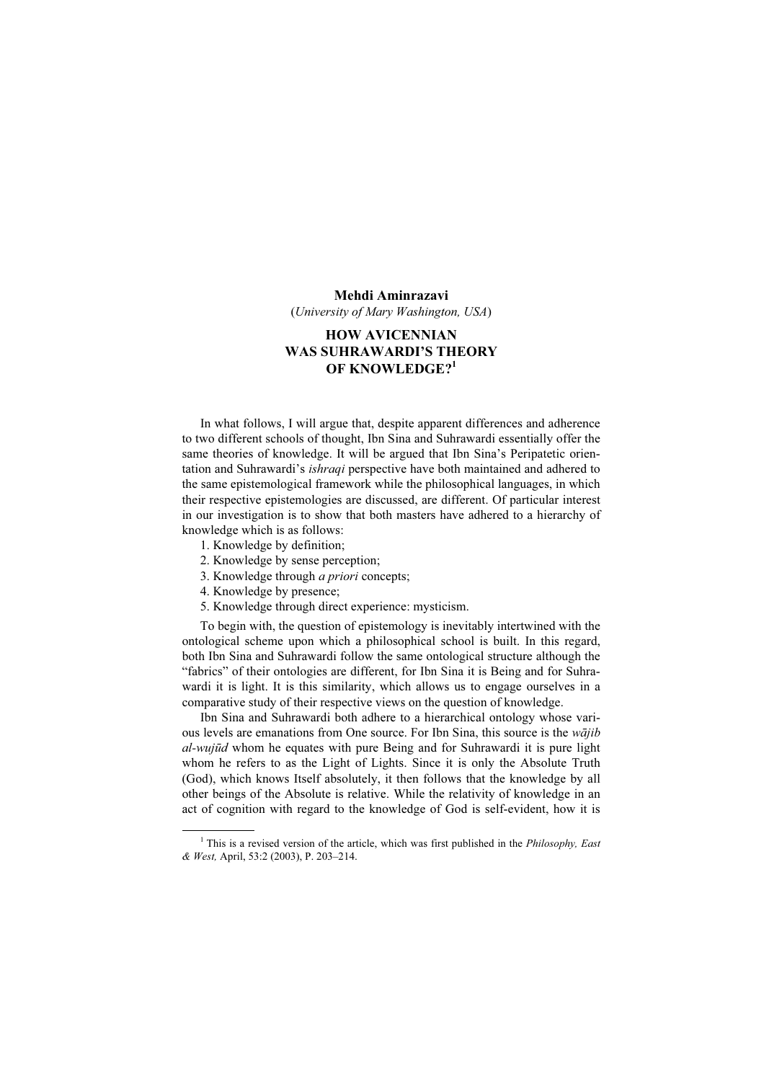#### Mehdi Aminrazavi

(University of Mary Washington, USA)

# HOW AVICENNIAN WAS SUHRAWARDI'S THEORY OF KNOWLEDGE?<sup>1</sup>

In what follows, I will argue that, despite apparent differences and adherence to two different schools of thought, Ibn Sina and Suhrawardi essentially offer the same theories of knowledge. It will be argued that Ibn Sina's Peripatetic orientation and Suhrawardi's *ishraqi* perspective have both maintained and adhered to the same epistemological framework while the philosophical languages, in which their respective epistemologies are discussed, are different. Of particular interest in our investigation is to show that both masters have adhered to a hierarchy of knowledge which is as follows:

- 1. Knowledge by definition;
- 2. Knowledge by sense perception;
- 3. Knowledge through a priori concepts;
- 4. Knowledge by presence;
- 5. Knowledge through direct experience: mysticism.

To begin with, the question of epistemology is inevitably intertwined with the ontological scheme upon which a philosophical school is built. In this regard, both Ibn Sina and Suhrawardi follow the same ontological structure although the "fabrics" of their ontologies are different, for Ibn Sina it is Being and for Suhrawardi it is light. It is this similarity, which allows us to engage ourselves in a comparative study of their respective views on the question of knowledge.

Ibn Sina and Suhrawardi both adhere to a hierarchical ontology whose various levels are emanations from One source. For Ibn Sina, this source is the *wajib* al-wujūd whom he equates with pure Being and for Suhrawardi it is pure light whom he refers to as the Light of Lights. Since it is only the Absolute Truth (God), which knows Itself absolutely, it then follows that the knowledge by all other beings of the Absolute is relative. While the relativity of knowledge in an act of cognition with regard to the knowledge of God is self-evident, how it is

 $\frac{1}{1}$ <sup>1</sup> This is a revised version of the article, which was first published in the *Philosophy*, East & West, April, 53:2 (2003), P. 203–214.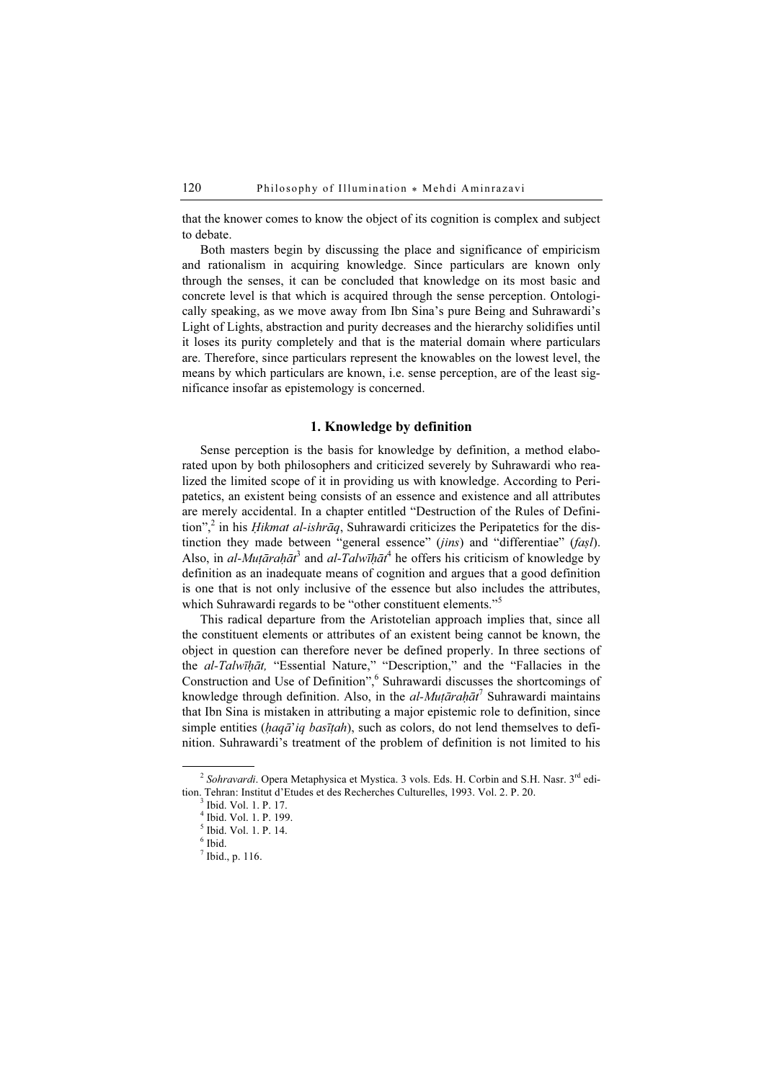that the knower comes to know the object of its cognition is complex and subject to debate.

Both masters begin by discussing the place and significance of empiricism and rationalism in acquiring knowledge. Since particulars are known only through the senses, it can be concluded that knowledge on its most basic and concrete level is that which is acquired through the sense perception. Ontologically speaking, as we move away from Ibn Sina's pure Being and Suhrawardi's Light of Lights, abstraction and purity decreases and the hierarchy solidifies until it loses its purity completely and that is the material domain where particulars are. Therefore, since particulars represent the knowables on the lowest level, the means by which particulars are known, i.e. sense perception, are of the least significance insofar as epistemology is concerned.

## 1. Knowledge by definition

Sense perception is the basis for knowledge by definition, a method elaborated upon by both philosophers and criticized severely by Suhrawardi who realized the limited scope of it in providing us with knowledge. According to Peripatetics, an existent being consists of an essence and existence and all attributes are merely accidental. In a chapter entitled "Destruction of the Rules of Definition",<sup>2</sup> in his *Hikmat al-ishrāq*, Suhrawardi criticizes the Peripatetics for the distinction they made between "general essence" (*jins*) and "differentiae" (*fasl*). Also, in al-Muṭāraḥāt<sup>3</sup> and al-Talwīḥāt<sup>4</sup> he offers his criticism of knowledge by definition as an inadequate means of cognition and argues that a good definition is one that is not only inclusive of the essence but also includes the attributes, which Suhrawardi regards to be "other constituent elements."<sup>5</sup>

This radical departure from the Aristotelian approach implies that, since all the constituent elements or attributes of an existent being cannot be known, the object in question can therefore never be defined properly. In three sections of the al-Talwīḥāt, "Essential Nature," "Description," and the "Fallacies in the Construction and Use of Definition", <sup>6</sup> Suhrawardi discusses the shortcomings of knowledge through definition. Also, in the  $al$ - $Mut\bar{a}rah\bar{a}t^7$  Suhrawardi maintains that Ibn Sina is mistaken in attributing a major epistemic role to definition, since simple entities ( $haq\bar{a}'iq\bar{b}as\bar{t}tah$ ), such as colors, do not lend themselves to definition. Suhrawardi's treatment of the problem of definition is not limited to his

 $<sup>7</sup>$  Ibid., p. 116.</sup>

<sup>&</sup>lt;sup>2</sup> Sohravardi. Opera Metaphysica et Mystica. 3 vols. Eds. H. Corbin and S.H. Nasr.  $3^{rd}$  edition. Tehran: Institut d'Etudes et des Recherches Culturelles, 1993. Vol. 2. P. 20.

 $3$  Ibid. Vol. 1. P. 17.

<sup>4</sup> Ibid. Vol. 1. P. 199.

<sup>5</sup> Ibid. Vol. 1. P. 14.

<sup>6</sup> Ibid.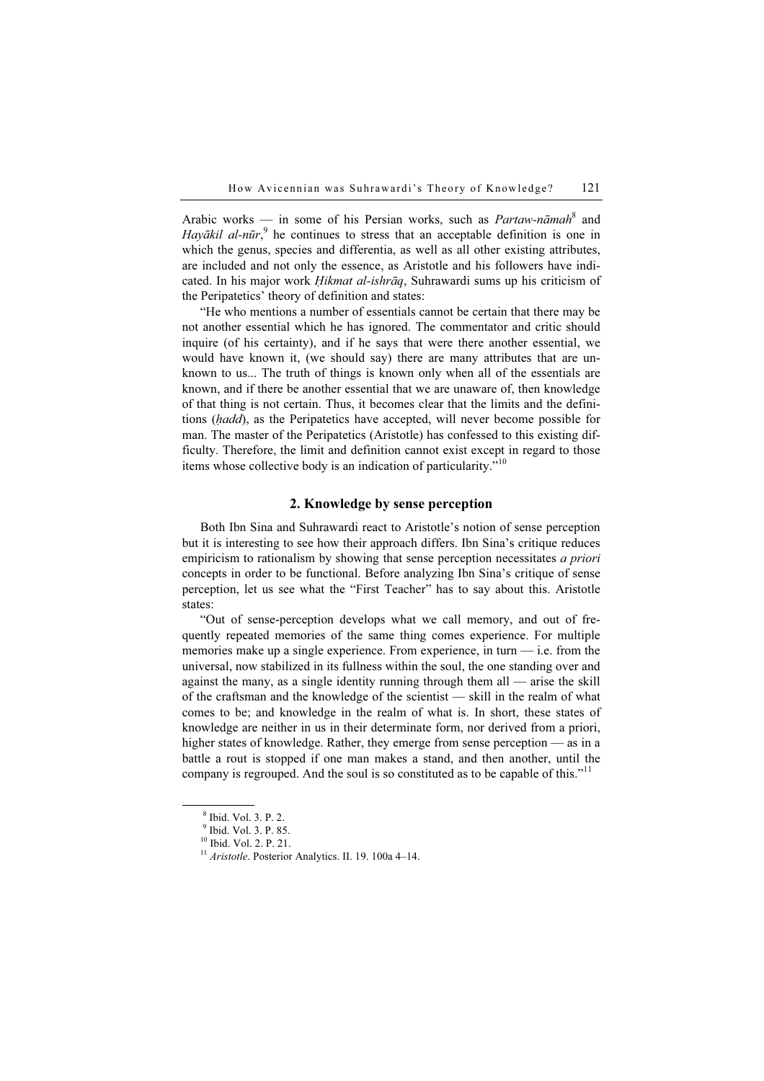Arabic works — in some of his Persian works, such as  $Partaw-n\bar{a}mah^8$  and Hayākil al-nūr,<sup>9</sup> he continues to stress that an acceptable definition is one in which the genus, species and differentia, as well as all other existing attributes, are included and not only the essence, as Aristotle and his followers have indicated. In his major work *Ḥikmat al-ishrāq*, Suhrawardi sums up his criticism of the Peripatetics' theory of definition and states:

"He who mentions a number of essentials cannot be certain that there may be not another essential which he has ignored. The commentator and critic should inquire (of his certainty), and if he says that were there another essential, we would have known it, (we should say) there are many attributes that are unknown to us... The truth of things is known only when all of the essentials are known, and if there be another essential that we are unaware of, then knowledge of that thing is not certain. Thus, it becomes clear that the limits and the definitions (hadd), as the Peripatetics have accepted, will never become possible for man. The master of the Peripatetics (Aristotle) has confessed to this existing difficulty. Therefore, the limit and definition cannot exist except in regard to those items whose collective body is an indication of particularity."<sup>10</sup>

# 2. Knowledge by sense perception

Both Ibn Sina and Suhrawardi react to Aristotle's notion of sense perception but it is interesting to see how their approach differs. Ibn Sina's critique reduces empiricism to rationalism by showing that sense perception necessitates *a priori* concepts in order to be functional. Before analyzing Ibn Sina's critique of sense perception, let us see what the "First Teacher" has to say about this. Aristotle states:

"Out of sense-perception develops what we call memory, and out of frequently repeated memories of the same thing comes experience. For multiple memories make up a single experience. From experience, in turn  $-$  i.e. from the universal, now stabilized in its fullness within the soul, the one standing over and against the many, as a single identity running through them all — arise the skill of the craftsman and the knowledge of the scientist — skill in the realm of what comes to be; and knowledge in the realm of what is. In short, these states of knowledge are neither in us in their determinate form, nor derived from a priori, higher states of knowledge. Rather, they emerge from sense perception — as in a battle a rout is stopped if one man makes a stand, and then another, until the company is regrouped. And the soul is so constituted as to be capable of this."<sup>11</sup>

 $\frac{1}{8}$ <sup>8</sup> Ibid. Vol. 3. P. 2.

<sup>9</sup> Ibid. Vol. 3. P. 85.

<sup>&</sup>lt;sup>10</sup> Ibid. Vol. 2. P. 21.

 $11$  Aristotle. Posterior Analytics. II. 19. 100a 4–14.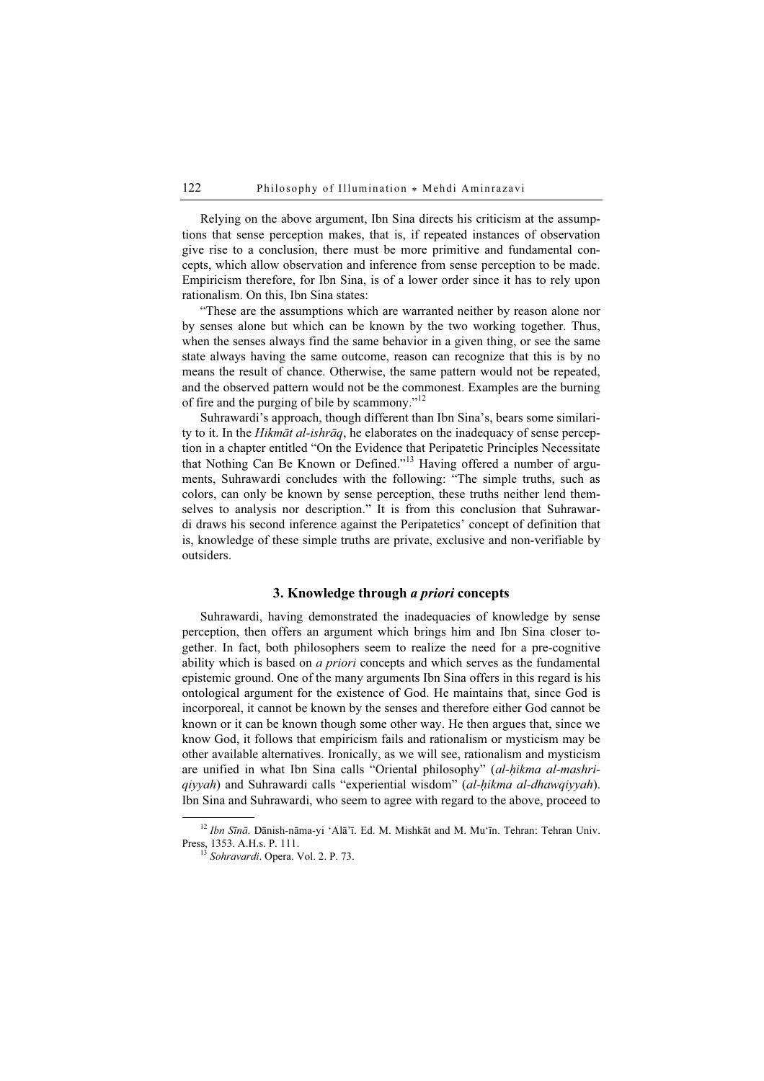Relying on the above argument, Ibn Sina directs his criticism at the assumptions that sense perception makes, that is, if repeated instances of observation give rise to a conclusion, there must be more primitive and fundamental concepts, which allow observation and inference from sense perception to be made. Empiricism therefore, for Ibn Sina, is of a lower order since it has to rely upon rationalism. On this, Ibn Sina states:

"These are the assumptions which are warranted neither by reason alone nor by senses alone but which can be known by the two working together. Thus, when the senses always find the same behavior in a given thing, or see the same state always having the same outcome, reason can recognize that this is by no means the result of chance. Otherwise, the same pattern would not be repeated, and the observed pattern would not be the commonest. Examples are the burning of fire and the purging of bile by scammony."<sup>12</sup>

Suhrawardi's approach, though different than Ibn Sina's, bears some similarity to it. In the *Hikmāt al-ishrāq*, he elaborates on the inadequacy of sense perception in a chapter entitled "On the Evidence that Peripatetic Principles Necessitate that Nothing Can Be Known or Defined."<sup>13</sup> Having offered a number of arguments, Suhrawardi concludes with the following: "The simple truths, such as colors, can only be known by sense perception, these truths neither lend themselves to analysis nor description." It is from this conclusion that Suhrawardi draws his second inference against the Peripatetics' concept of definition that is, knowledge of these simple truths are private, exclusive and non-verifiable by outsiders.

## 3. Knowledge through a priori concepts

Suhrawardi, having demonstrated the inadequacies of knowledge by sense perception, then offers an argument which brings him and Ibn Sina closer together. In fact, both philosophers seem to realize the need for a pre-cognitive ability which is based on  $a$  priori concepts and which serves as the fundamental epistemic ground. One of the many arguments Ibn Sina offers in this regard is his ontological argument for the existence of God. He maintains that, since God is incorporeal, it cannot be known by the senses and therefore either God cannot be known or it can be known though some other way. He then argues that, since we know God, it follows that empiricism fails and rationalism or mysticism may be other available alternatives. Ironically, as we will see, rationalism and mysticism are unified in what Ibn Sina calls "Oriental philosophy" (al-hikma al-mashriqiyyah) and Suhrawardi calls "experiential wisdom" (al-hikma al-dhawqiyyah). Ibn Sina and Suhrawardi, who seem to agree with regard to the above, proceed to

 $^{12}$  Ibn Sīnā. Dānish-nāma-yi 'Alā'ī. Ed. M. Mishkāt and M. Mu'īn. Tehran: Tehran Univ. Press, 1353. A.H.s. P. 111.

 $^{13}$  Sohravardi. Opera. Vol. 2. P. 73.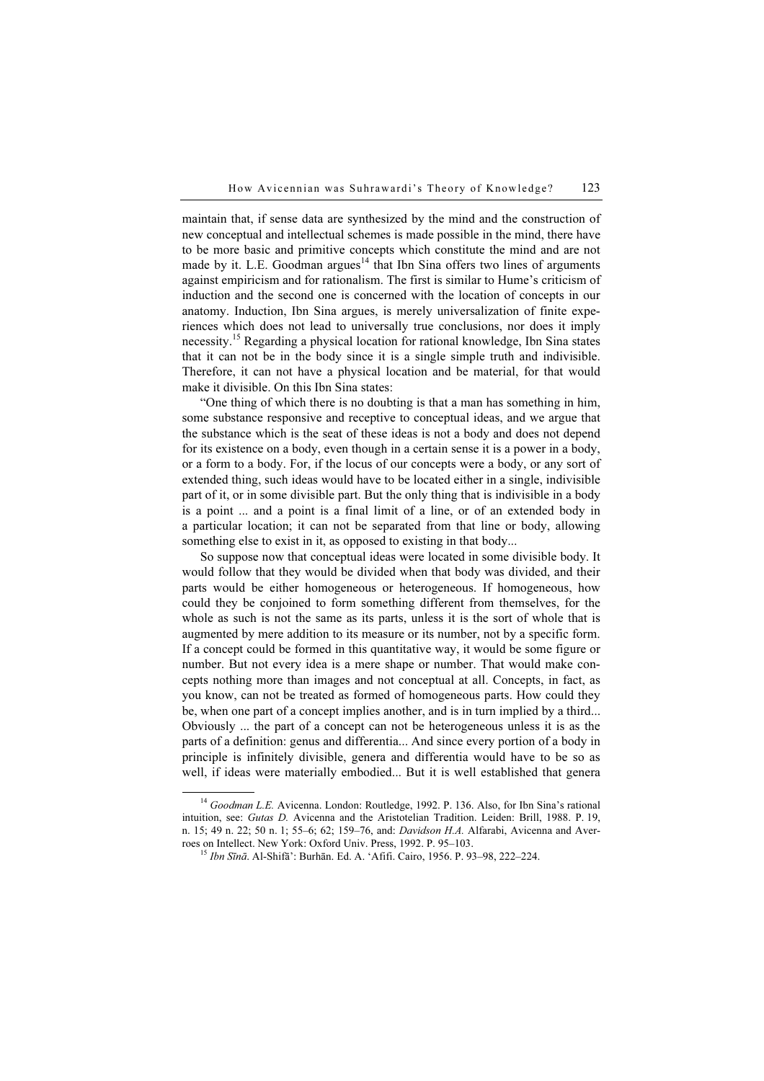maintain that, if sense data are synthesized by the mind and the construction of new conceptual and intellectual schemes is made possible in the mind, there have to be more basic and primitive concepts which constitute the mind and are not made by it. L.E. Goodman argues<sup>14</sup> that Ibn Sina offers two lines of arguments against empiricism and for rationalism. The first is similar to Hume's criticism of induction and the second one is concerned with the location of concepts in our anatomy. Induction, Ibn Sina argues, is merely universalization of finite experiences which does not lead to universally true conclusions, nor does it imply necessity.<sup>15</sup> Regarding a physical location for rational knowledge, Ibn Sina states that it can not be in the body since it is a single simple truth and indivisible. Therefore, it can not have a physical location and be material, for that would make it divisible. On this Ibn Sina states:

"One thing of which there is no doubting is that a man has something in him, some substance responsive and receptive to conceptual ideas, and we argue that the substance which is the seat of these ideas is not a body and does not depend for its existence on a body, even though in a certain sense it is a power in a body, or a form to a body. For, if the locus of our concepts were a body, or any sort of extended thing, such ideas would have to be located either in a single, indivisible part of it, or in some divisible part. But the only thing that is indivisible in a body is a point ... and a point is a final limit of a line, or of an extended body in a particular location; it can not be separated from that line or body, allowing something else to exist in it, as opposed to existing in that body...

So suppose now that conceptual ideas were located in some divisible body. It would follow that they would be divided when that body was divided, and their parts would be either homogeneous or heterogeneous. If homogeneous, how could they be conjoined to form something different from themselves, for the whole as such is not the same as its parts, unless it is the sort of whole that is augmented by mere addition to its measure or its number, not by a specific form. If a concept could be formed in this quantitative way, it would be some figure or number. But not every idea is a mere shape or number. That would make concepts nothing more than images and not conceptual at all. Concepts, in fact, as you know, can not be treated as formed of homogeneous parts. How could they be, when one part of a concept implies another, and is in turn implied by a third... Obviously ... the part of a concept can not be heterogeneous unless it is as the parts of a definition: genus and differentia... And since every portion of a body in principle is infinitely divisible, genera and differentia would have to be so as well, if ideas were materially embodied... But it is well established that genera

<sup>&</sup>lt;sup>14</sup> Goodman L.E. Avicenna. London: Routledge, 1992. P. 136. Also, for Ibn Sina's rational intuition, see: Gutas D. Avicenna and the Aristotelian Tradition. Leiden: Brill, 1988. P. 19, n. 15; 49 n. 22; 50 n. 1; 55–6; 62; 159–76, and: *Davidson H.A.* Alfarabi, Avicenna and Aver-<br>roes on Intellect. New York: Oxford Univ. Press, 1992. P. 95–103.

 $15$  *Ibn Sīnā*, Al-Shifā': Burhān, Ed. A. 'Afifi. Cairo, 1956. P. 93–98, 222–224.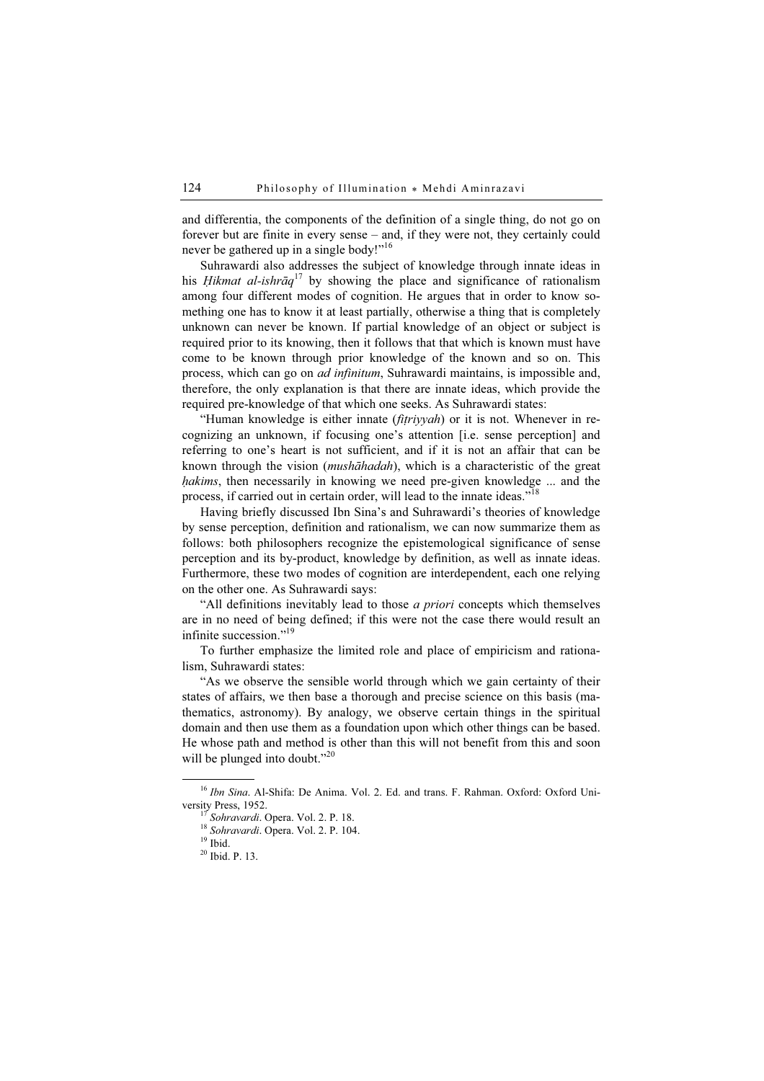and differentia, the components of the definition of a single thing, do not go on forever but are finite in every sense – and, if they were not, they certainly could never be gathered up in a single body!"<sup>16</sup>

Suhrawardi also addresses the subject of knowledge through innate ideas in his *Hikmat al-ishraq*<sup>17</sup> by showing the place and significance of rationalism among four different modes of cognition. He argues that in order to know something one has to know it at least partially, otherwise a thing that is completely unknown can never be known. If partial knowledge of an object or subject is required prior to its knowing, then it follows that that which is known must have come to be known through prior knowledge of the known and so on. This process, which can go on ad infinitum, Suhrawardi maintains, is impossible and, therefore, the only explanation is that there are innate ideas, which provide the required pre-knowledge of that which one seeks. As Suhrawardi states:

"Human knowledge is either innate (fitriyyah) or it is not. Whenever in recognizing an unknown, if focusing one's attention [i.e. sense perception] and referring to one's heart is not sufficient, and if it is not an affair that can be known through the vision (mushāhadah), which is a characteristic of the great hakims, then necessarily in knowing we need pre-given knowledge ... and the process, if carried out in certain order, will lead to the innate ideas."<sup>18</sup>

Having briefly discussed Ibn Sina's and Suhrawardi's theories of knowledge by sense perception, definition and rationalism, we can now summarize them as follows: both philosophers recognize the epistemological significance of sense perception and its by-product, knowledge by definition, as well as innate ideas. Furthermore, these two modes of cognition are interdependent, each one relying on the other one. As Suhrawardi says:

"All definitions inevitably lead to those *a priori* concepts which themselves are in no need of being defined; if this were not the case there would result an infinite succession."<sup>19</sup>

To further emphasize the limited role and place of empiricism and rationalism, Suhrawardi states:

"As we observe the sensible world through which we gain certainty of their states of affairs, we then base a thorough and precise science on this basis (mathematics, astronomy). By analogy, we observe certain things in the spiritual domain and then use them as a foundation upon which other things can be based. He whose path and method is other than this will not benefit from this and soon will be plunged into doubt."<sup>20</sup>

 $16$  Ibn Sina. Al-Shifa: De Anima. Vol. 2. Ed. and trans. F. Rahman. Oxford: Oxford University Press, 1952.

<sup>&</sup>lt;sup>17</sup> Sohravardi. Opera. Vol. 2. P. 18.<br><sup>18</sup> Sohravardi. Opera. Vol. 2. P. 104. <sup>19</sup> Ibid.

<sup>20</sup> Ibid. P. 13.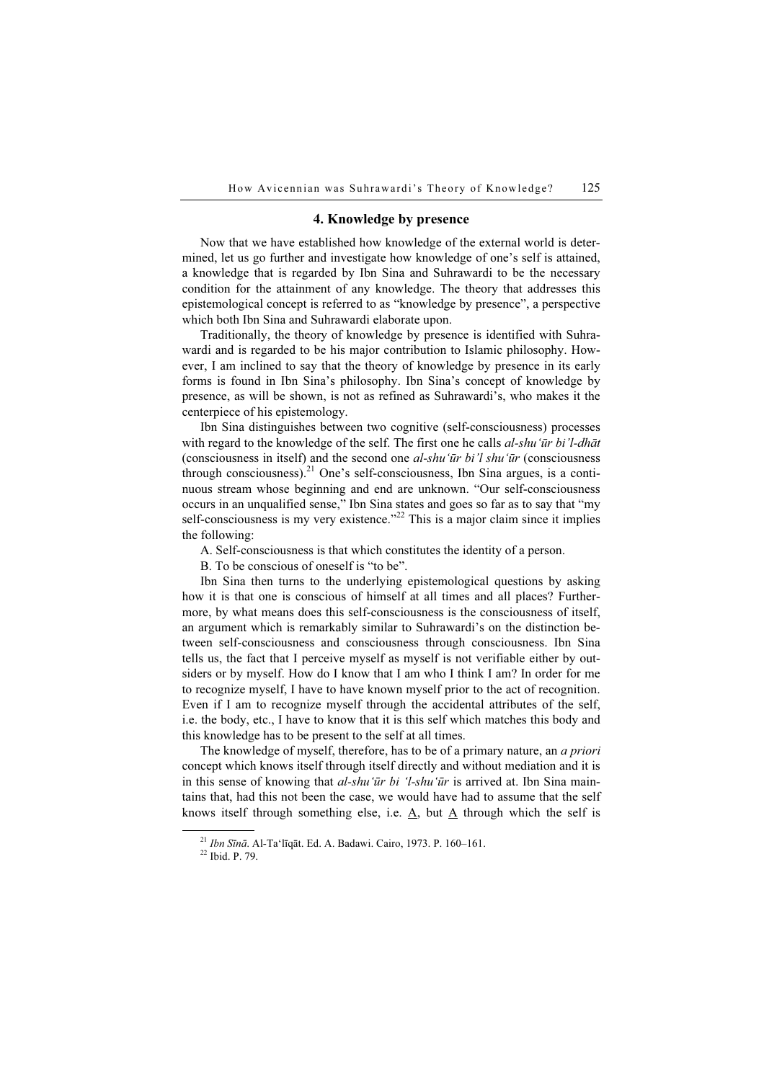## 4. Knowledge by presence

Now that we have established how knowledge of the external world is determined, let us go further and investigate how knowledge of one's self is attained, a knowledge that is regarded by Ibn Sina and Suhrawardi to be the necessary condition for the attainment of any knowledge. The theory that addresses this epistemological concept is referred to as "knowledge by presence", a perspective which both Ibn Sina and Suhrawardi elaborate upon.

Traditionally, the theory of knowledge by presence is identified with Suhrawardi and is regarded to be his major contribution to Islamic philosophy. However, I am inclined to say that the theory of knowledge by presence in its early forms is found in Ibn Sina's philosophy. Ibn Sina's concept of knowledge by presence, as will be shown, is not as refined as Suhrawardi's, who makes it the centerpiece of his epistemology.

Ibn Sina distinguishes between two cognitive (self-consciousness) processes with regard to the knowledge of the self. The first one he calls al-shu'ūr bi'l-dhāt (consciousness in itself) and the second one al-shu'ūr bi'l shu'ūr (consciousness through consciousness).<sup>21</sup> One's self-consciousness, Ibn Sina argues, is a continuous stream whose beginning and end are unknown. "Our self-consciousness occurs in an unqualified sense," Ibn Sina states and goes so far as to say that "my self-consciousness is my very existence."<sup>22</sup> This is a major claim since it implies the following:

A. Self-consciousness is that which constitutes the identity of a person.

B. To be conscious of oneself is "to be".

Ibn Sina then turns to the underlying epistemological questions by asking how it is that one is conscious of himself at all times and all places? Furthermore, by what means does this self-consciousness is the consciousness of itself, an argument which is remarkably similar to Suhrawardi's on the distinction between self-consciousness and consciousness through consciousness. Ibn Sina tells us, the fact that I perceive myself as myself is not verifiable either by outsiders or by myself. How do I know that I am who I think I am? In order for me to recognize myself, I have to have known myself prior to the act of recognition. Even if I am to recognize myself through the accidental attributes of the self, i.e. the body, etc., I have to know that it is this self which matches this body and this knowledge has to be present to the self at all times.

The knowledge of myself, therefore, has to be of a primary nature, an *a priori* concept which knows itself through itself directly and without mediation and it is in this sense of knowing that *al-shu'ūr bi 'l-shu'ūr* is arrived at. Ibn Sina maintains that, had this not been the case, we would have had to assume that the self knows itself through something else, i.e.  $\underline{A}$ , but  $\underline{A}$  through which the self is

<sup>&</sup>lt;sup>21</sup> *Ibn Sīnā*. Al-Ta'līqāt. Ed. A. Badawi. Cairo, 1973. P. 160–161.<br><sup>22</sup> Ibid. P. 79.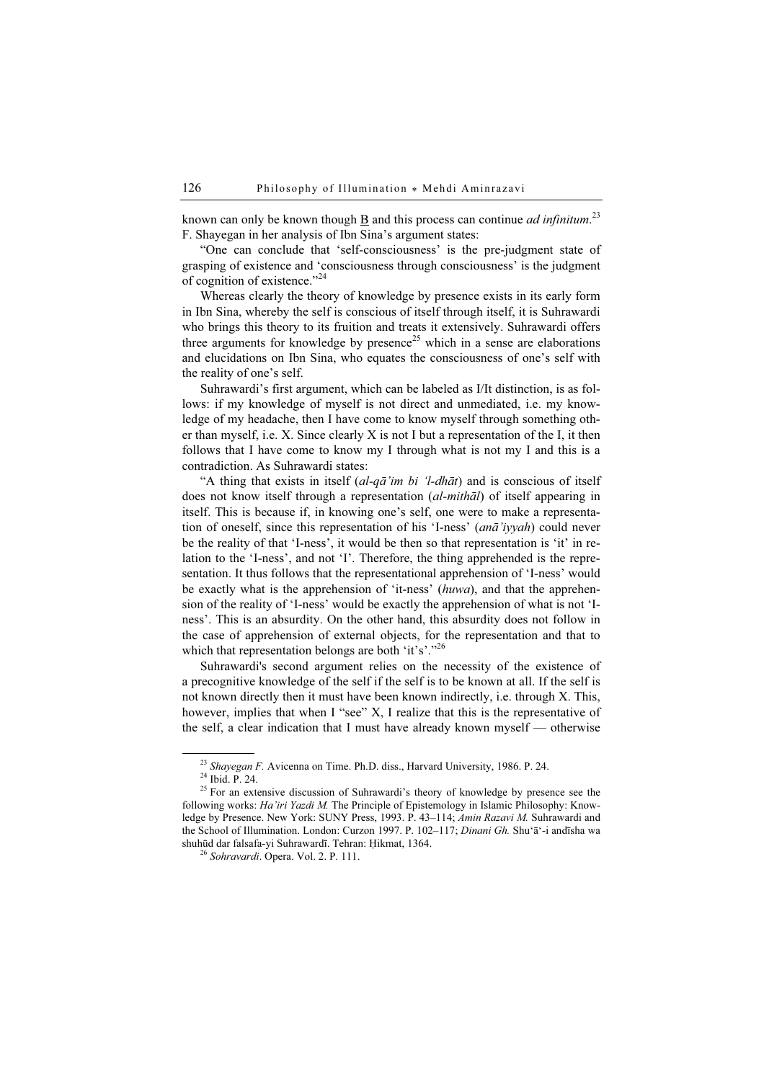known can only be known though  $\underline{B}$  and this process can continue *ad infinitum*.<sup>23</sup> F. Shayegan in her analysis of Ibn Sina's argument states:

"One can conclude that 'self-consciousness' is the pre-judgment state of grasping of existence and 'consciousness through consciousness' is the judgment of cognition of existence."<sup>24</sup>

Whereas clearly the theory of knowledge by presence exists in its early form in Ibn Sina, whereby the self is conscious of itself through itself, it is Suhrawardi who brings this theory to its fruition and treats it extensively. Suhrawardi offers three arguments for knowledge by presence<sup>25</sup> which in a sense are elaborations and elucidations on Ibn Sina, who equates the consciousness of one's self with the reality of one's self.

Suhrawardi's first argument, which can be labeled as I/It distinction, is as follows: if my knowledge of myself is not direct and unmediated, i.e. my knowledge of my headache, then I have come to know myself through something other than myself, i.e. X. Since clearly X is not I but a representation of the I, it then follows that I have come to know my I through what is not my I and this is a contradiction. As Suhrawardi states:

"A thing that exists in itself  $(al-q\bar{a}'$  im bi 'l-dh $\bar{a}t$ ) and is conscious of itself does not know itself through a representation (*al-mithal*) of itself appearing in itself. This is because if, in knowing one's self, one were to make a representation of oneself, since this representation of his 'I-ness' (anā'iyyah) could never be the reality of that 'I-ness', it would be then so that representation is 'it' in relation to the 'I-ness', and not 'I'. Therefore, the thing apprehended is the representation. It thus follows that the representational apprehension of 'I-ness' would be exactly what is the apprehension of 'it-ness' (huwa), and that the apprehension of the reality of 'I-ness' would be exactly the apprehension of what is not 'Iness'. This is an absurdity. On the other hand, this absurdity does not follow in the case of apprehension of external objects, for the representation and that to which that representation belongs are both 'it's'."<sup>26</sup>

Suhrawardi's second argument relies on the necessity of the existence of a precognitive knowledge of the self if the self is to be known at all. If the self is not known directly then it must have been known indirectly, i.e. through X. This, however, implies that when I "see" X, I realize that this is the representative of the self, a clear indication that I must have already known myself — otherwise

<sup>&</sup>lt;sup>23</sup> Shayegan F. Avicenna on Time. Ph.D. diss., Harvard University, 1986. P. 24. <sup>24</sup> Ibid. P. 24.

<sup>&</sup>lt;sup>25</sup> For an extensive discussion of Suhrawardi's theory of knowledge by presence see the following works: Ha'iri Yazdi M. The Principle of Epistemology in Islamic Philosophy: Knowledge by Presence. New York: SUNY Press, 1993. P. 43–114; Amin Razavi M. Suhrawardi and the School of Illumination. London: Curzon 1997. P. 102–117; Dinani Gh. Shu'ā'-i andīsha wa shuhūd dar falsafa-yi Suhrawardī. Tehran: Ḥikmat, 1364. <sup>26</sup> Sohravardi. Opera. Vol. 2. P. 111.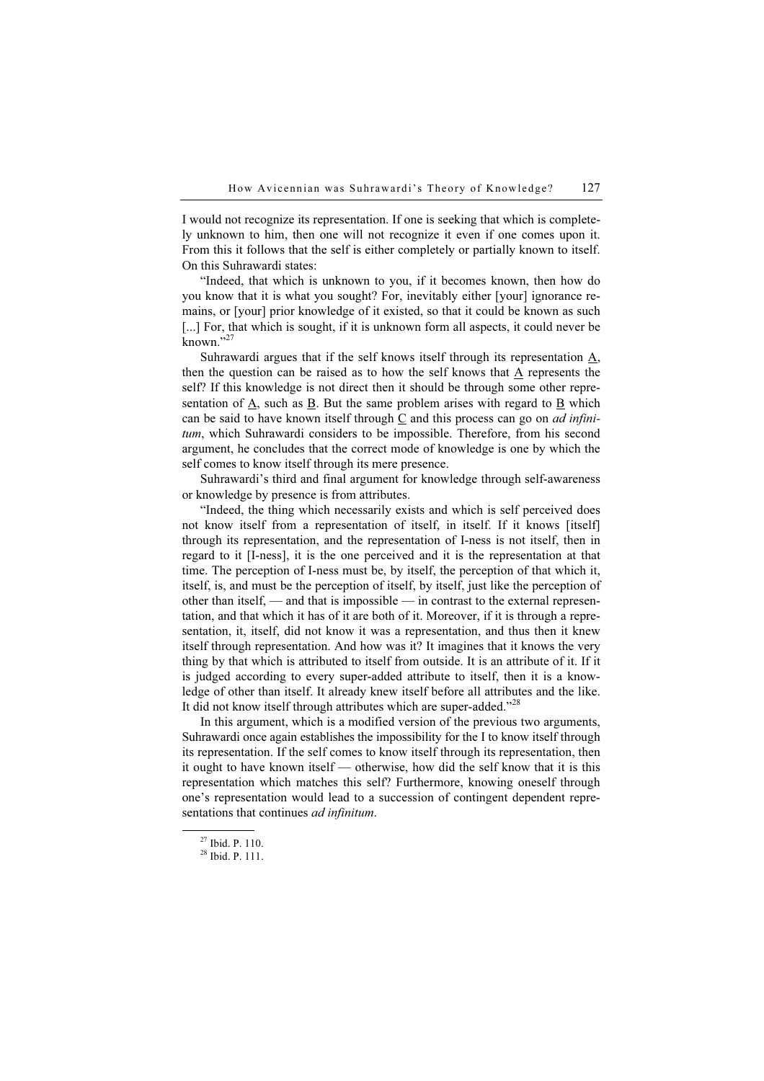I would not recognize its representation. If one is seeking that which is completely unknown to him, then one will not recognize it even if one comes upon it. From this it follows that the self is either completely or partially known to itself. On this Suhrawardi states:

"Indeed, that which is unknown to you, if it becomes known, then how do you know that it is what you sought? For, inevitably either [your] ignorance remains, or [your] prior knowledge of it existed, so that it could be known as such [...] For, that which is sought, if it is unknown form all aspects, it could never be  $km$ <sup>27</sup>

Suhrawardi argues that if the self knows itself through its representation  $\underline{A}$ , then the question can be raised as to how the self knows that  $\underline{A}$  represents the self? If this knowledge is not direct then it should be through some other representation of  $\underline{A}$ , such as  $\underline{B}$ . But the same problem arises with regard to  $\underline{B}$  which can be said to have known itself through C and this process can go on *ad infini*tum, which Suhrawardi considers to be impossible. Therefore, from his second argument, he concludes that the correct mode of knowledge is one by which the self comes to know itself through its mere presence.

Suhrawardi's third and final argument for knowledge through self-awareness or knowledge by presence is from attributes.

"Indeed, the thing which necessarily exists and which is self perceived does not know itself from a representation of itself, in itself. If it knows [itself] through its representation, and the representation of I-ness is not itself, then in regard to it [I-ness], it is the one perceived and it is the representation at that time. The perception of I-ness must be, by itself, the perception of that which it, itself, is, and must be the perception of itself, by itself, just like the perception of other than itself, — and that is impossible — in contrast to the external representation, and that which it has of it are both of it. Moreover, if it is through a representation, it, itself, did not know it was a representation, and thus then it knew itself through representation. And how was it? It imagines that it knows the very thing by that which is attributed to itself from outside. It is an attribute of it. If it is judged according to every super-added attribute to itself, then it is a knowledge of other than itself. It already knew itself before all attributes and the like. It did not know itself through attributes which are super-added."<sup>28</sup>

In this argument, which is a modified version of the previous two arguments, Suhrawardi once again establishes the impossibility for the I to know itself through its representation. If the self comes to know itself through its representation, then it ought to have known itself — otherwise, how did the self know that it is this representation which matches this self? Furthermore, knowing oneself through one's representation would lead to a succession of contingent dependent representations that continues ad infinitum.

<sup>27</sup> Ibid. P. 110.

 $28$  Ibid. P. 111.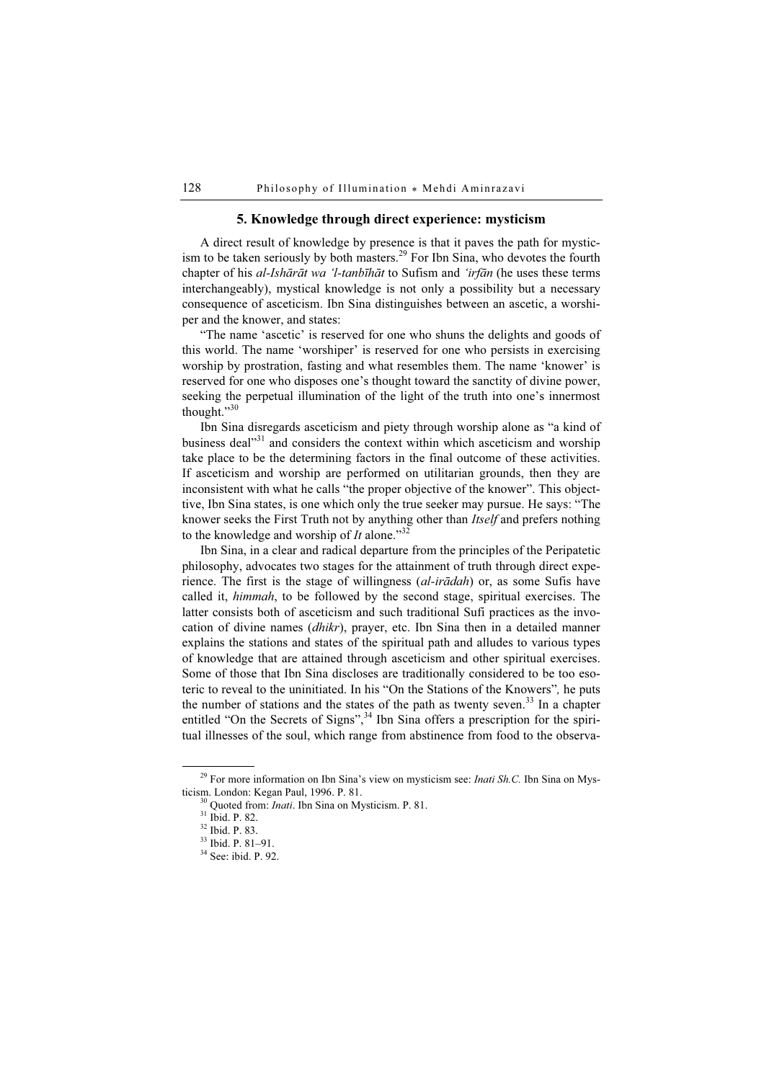## 5. Knowledge through direct experience: mysticism

A direct result of knowledge by presence is that it paves the path for mysticism to be taken seriously by both masters.<sup>29</sup> For Ibn Sina, who devotes the fourth chapter of his al-Ishārāt wa 'l-tanbīhāt to Sufism and 'irfān (he uses these terms interchangeably), mystical knowledge is not only a possibility but a necessary consequence of asceticism. Ibn Sina distinguishes between an ascetic, a worshiper and the knower, and states:

"The name 'ascetic' is reserved for one who shuns the delights and goods of this world. The name 'worshiper' is reserved for one who persists in exercising worship by prostration, fasting and what resembles them. The name 'knower' is reserved for one who disposes one's thought toward the sanctity of divine power, seeking the perpetual illumination of the light of the truth into one's innermost thought."30

Ibn Sina disregards asceticism and piety through worship alone as "a kind of business deal"<sup>31</sup> and considers the context within which asceticism and worship take place to be the determining factors in the final outcome of these activities. If asceticism and worship are performed on utilitarian grounds, then they are inconsistent with what he calls "the proper objective of the knower". This objecttive, Ibn Sina states, is one which only the true seeker may pursue. He says: "The knower seeks the First Truth not by anything other than Itself and prefers nothing to the knowledge and worship of It alone."<sup>32</sup>

Ibn Sina, in a clear and radical departure from the principles of the Peripatetic philosophy, advocates two stages for the attainment of truth through direct experience. The first is the stage of willingness (al-irādah) or, as some Sufis have called it, himmah, to be followed by the second stage, spiritual exercises. The latter consists both of asceticism and such traditional Sufi practices as the invocation of divine names (dhikr), prayer, etc. Ibn Sina then in a detailed manner explains the stations and states of the spiritual path and alludes to various types of knowledge that are attained through asceticism and other spiritual exercises. Some of those that Ibn Sina discloses are traditionally considered to be too esoteric to reveal to the uninitiated. In his "On the Stations of the Knowers", he puts the number of stations and the states of the path as twenty seven.<sup>33</sup> In a chapter entitled "On the Secrets of Signs",<sup>34</sup> Ibn Sina offers a prescription for the spiritual illnesses of the soul, which range from abstinence from food to the observa-

<sup>&</sup>lt;sup>29</sup> For more information on Ibn Sina's view on mysticism see: *Inati Sh.C.* Ibn Sina on Mysticism. London: Kegan Paul, 1996. P. 81.<br><sup>30</sup> Quoted from: *Inati*. Ibn Sina on Mysticism. P. 81.<br><sup>31</sup> Ibid. P. 82.

<sup>32</sup> Ibid. P. 83.

<sup>33</sup> Ibid. P. 81–91.

<sup>34</sup> See: ibid. P. 92.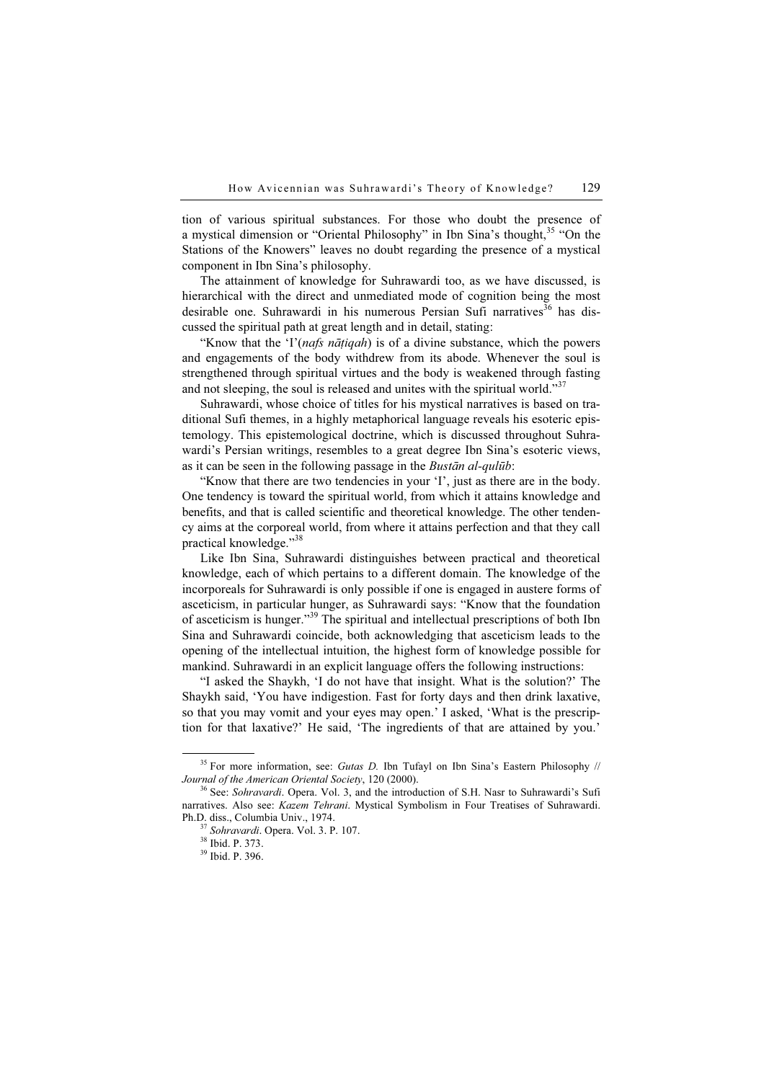tion of various spiritual substances. For those who doubt the presence of a mystical dimension or "Oriental Philosophy" in Ibn Sina's thought,<sup>35</sup> "On the Stations of the Knowers" leaves no doubt regarding the presence of a mystical component in Ibn Sina's philosophy.

The attainment of knowledge for Suhrawardi too, as we have discussed, is hierarchical with the direct and unmediated mode of cognition being the most desirable one. Suhrawardi in his numerous Persian Sufi narratives<sup>36</sup> has discussed the spiritual path at great length and in detail, stating:

"Know that the 'I'(*nafs nātiqah*) is of a divine substance, which the powers and engagements of the body withdrew from its abode. Whenever the soul is strengthened through spiritual virtues and the body is weakened through fasting and not sleeping, the soul is released and unites with the spiritual world." $37$ 

Suhrawardi, whose choice of titles for his mystical narratives is based on traditional Sufi themes, in a highly metaphorical language reveals his esoteric epistemology. This epistemological doctrine, which is discussed throughout Suhrawardi's Persian writings, resembles to a great degree Ibn Sina's esoteric views, as it can be seen in the following passage in the Bustān al-qulūb:

"Know that there are two tendencies in your 'I', just as there are in the body. One tendency is toward the spiritual world, from which it attains knowledge and benefits, and that is called scientific and theoretical knowledge. The other tendency aims at the corporeal world, from where it attains perfection and that they call practical knowledge."<sup>38</sup>

Like Ibn Sina, Suhrawardi distinguishes between practical and theoretical knowledge, each of which pertains to a different domain. The knowledge of the incorporeals for Suhrawardi is only possible if one is engaged in austere forms of asceticism, in particular hunger, as Suhrawardi says: "Know that the foundation of asceticism is hunger."<sup>39</sup> The spiritual and intellectual prescriptions of both Ibn Sina and Suhrawardi coincide, both acknowledging that asceticism leads to the opening of the intellectual intuition, the highest form of knowledge possible for mankind. Suhrawardi in an explicit language offers the following instructions:

"I asked the Shaykh, 'I do not have that insight. What is the solution?' The Shaykh said, 'You have indigestion. Fast for forty days and then drink laxative, so that you may vomit and your eyes may open.' I asked, 'What is the prescription for that laxative?' He said, 'The ingredients of that are attained by you.'

<sup>&</sup>lt;sup>35</sup> For more information, see: *Gutas D*. Ibn Tufayl on Ibn Sina's Eastern Philosophy // *Journal of the American Oriental Society*, 120 (2000).

<sup>&</sup>lt;sup>36</sup> See: Sohravardi. Opera. Vol. 3, and the introduction of S.H. Nasr to Suhrawardi's Sufi narratives. Also see: Kazem Tehrani. Mystical Symbolism in Four Treatises of Suhrawardi. Ph.D. diss., Columbia Univ., 1974.<br><sup>37</sup> Sohravardi. Opera. Vol. 3. P. 107.<br><sup>38</sup> Ibid. P. 373.

<sup>39</sup> Ibid. P. 396.